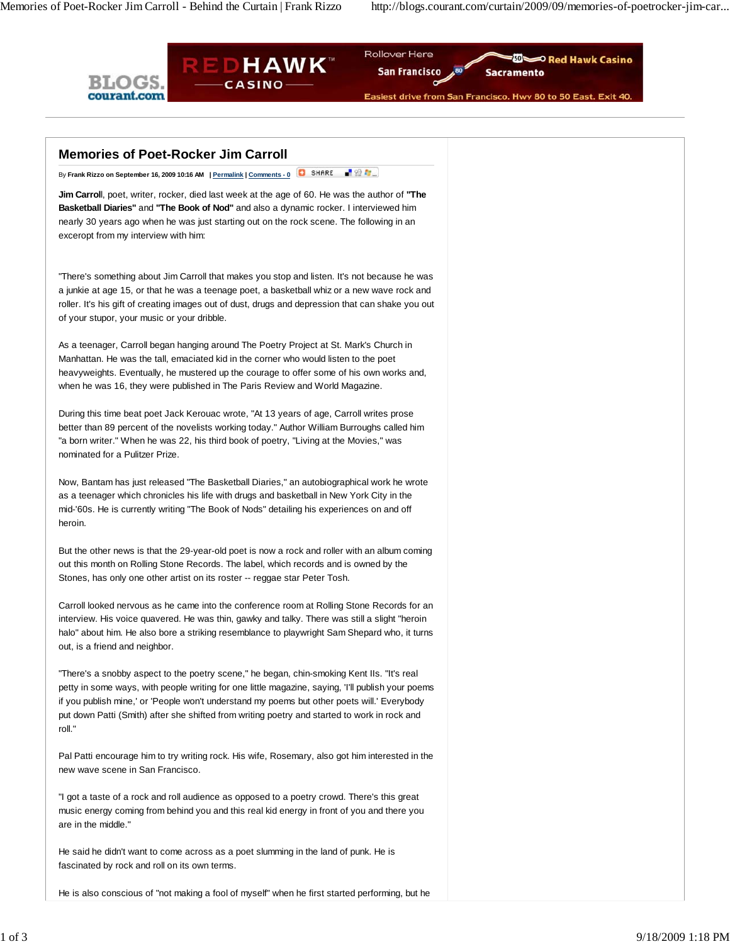Memories of Poet-Rocker Jim Carroll - Behind the Curtain | Frank Rizzo http://blogs.courant.com/curtain/2009/09/memories-of-poetrocker-jim-car...



| <b>Memories of Poet-Rocker Jim Carroll</b>                                                                                                                                                                                                                                                                                                                                                              |
|---------------------------------------------------------------------------------------------------------------------------------------------------------------------------------------------------------------------------------------------------------------------------------------------------------------------------------------------------------------------------------------------------------|
| 最後な。<br>SHARE<br>By Frank Rizzo on September 16, 2009 10:16 AM   Permalink   Comments - 0                                                                                                                                                                                                                                                                                                               |
| Jim Carroll, poet, writer, rocker, died last week at the age of 60. He was the author of "The<br>Basketball Diaries" and "The Book of Nod" and also a dynamic rocker. I interviewed him<br>nearly 30 years ago when he was just starting out on the rock scene. The following in an<br>exceropt from my interview with him:                                                                             |
| "There's something about Jim Carroll that makes you stop and listen. It's not because he was<br>a junkie at age 15, or that he was a teenage poet, a basketball whiz or a new wave rock and<br>roller. It's his gift of creating images out of dust, drugs and depression that can shake you out<br>of your stupor, your music or your dribble.                                                         |
| As a teenager, Carroll began hanging around The Poetry Project at St. Mark's Church in<br>Manhattan. He was the tall, emaciated kid in the corner who would listen to the poet<br>heavyweights. Eventually, he mustered up the courage to offer some of his own works and,<br>when he was 16, they were published in The Paris Review and World Magazine.                                               |
| During this time beat poet Jack Kerouac wrote, "At 13 years of age, Carroll writes prose<br>better than 89 percent of the novelists working today." Author William Burroughs called him<br>"a born writer." When he was 22, his third book of poetry, "Living at the Movies," was<br>nominated for a Pulitzer Prize.                                                                                    |
| Now, Bantam has just released "The Basketball Diaries," an autobiographical work he wrote<br>as a teenager which chronicles his life with drugs and basketball in New York City in the<br>mid-'60s. He is currently writing "The Book of Nods" detailing his experiences on and off<br>heroin.                                                                                                          |
| But the other news is that the 29-year-old poet is now a rock and roller with an album coming<br>out this month on Rolling Stone Records. The label, which records and is owned by the<br>Stones, has only one other artist on its roster -- reggae star Peter Tosh.                                                                                                                                    |
| Carroll looked nervous as he came into the conference room at Rolling Stone Records for an<br>interview. His voice quavered. He was thin, gawky and talky. There was still a slight "heroin<br>halo" about him. He also bore a striking resemblance to playwright Sam Shepard who, it turns<br>out, is a friend and neighbor.                                                                           |
| "There's a snobby aspect to the poetry scene," he began, chin-smoking Kent IIs. "It's real<br>petty in some ways, with people writing for one little magazine, saying, I'll publish your poems<br>if you publish mine,' or 'People won't understand my poems but other poets will.' Everybody<br>put down Patti (Smith) after she shifted from writing poetry and started to work in rock and<br>roll." |
| Pal Patti encourage him to try writing rock. His wife, Rosemary, also got him interested in the<br>new wave scene in San Francisco.                                                                                                                                                                                                                                                                     |
| "I got a taste of a rock and roll audience as opposed to a poetry crowd. There's this great<br>music energy coming from behind you and this real kid energy in front of you and there you<br>are in the middle."                                                                                                                                                                                        |
| He said he didn't want to come across as a poet slumming in the land of punk. He is<br>fascinated by rock and roll on its own terms.                                                                                                                                                                                                                                                                    |
| He is also conscious of "not making a fool of myself" when he first started performing, but he                                                                                                                                                                                                                                                                                                          |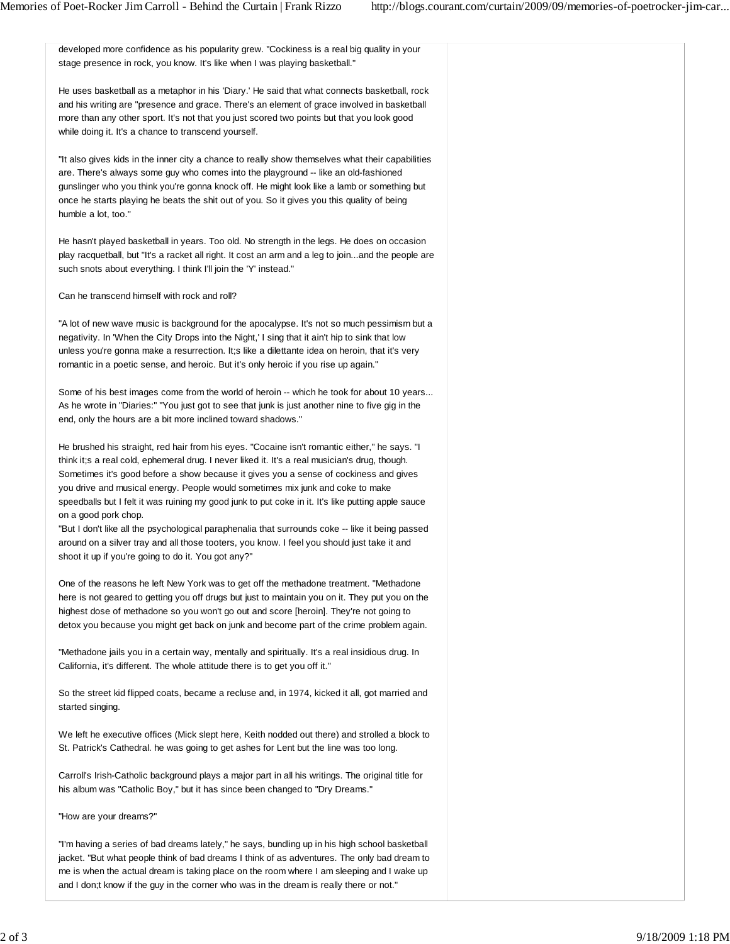| developed more confidence as his popularity grew. "Cockiness is a real big quality in your<br>stage presence in rock, you know. It's like when I was playing basketball."                                                                                                                                                                                                                                                                                                                                                                                                                                                                                                                                                                                          |
|--------------------------------------------------------------------------------------------------------------------------------------------------------------------------------------------------------------------------------------------------------------------------------------------------------------------------------------------------------------------------------------------------------------------------------------------------------------------------------------------------------------------------------------------------------------------------------------------------------------------------------------------------------------------------------------------------------------------------------------------------------------------|
| He uses basketball as a metaphor in his 'Diary.' He said that what connects basketball, rock<br>and his writing are "presence and grace. There's an element of grace involved in basketball<br>more than any other sport. It's not that you just scored two points but that you look good<br>while doing it. It's a chance to transcend yourself.                                                                                                                                                                                                                                                                                                                                                                                                                  |
| "It also gives kids in the inner city a chance to really show themselves what their capabilities<br>are. There's always some guy who comes into the playground -- like an old-fashioned<br>gunslinger who you think you're gonna knock off. He might look like a lamb or something but<br>once he starts playing he beats the shit out of you. So it gives you this quality of being<br>humble a lot, too."                                                                                                                                                                                                                                                                                                                                                        |
| He hasn't played basketball in years. Too old. No strength in the legs. He does on occasion<br>play racquetball, but "It's a racket all right. It cost an arm and a leg to joinand the people are<br>such snots about everything. I think I'll join the 'Y' instead."                                                                                                                                                                                                                                                                                                                                                                                                                                                                                              |
| Can he transcend himself with rock and roll?                                                                                                                                                                                                                                                                                                                                                                                                                                                                                                                                                                                                                                                                                                                       |
| "A lot of new wave music is background for the apocalypse. It's not so much pessimism but a<br>negativity. In 'When the City Drops into the Night,' I sing that it ain't hip to sink that low<br>unless you're gonna make a resurrection. It;s like a dilettante idea on heroin, that it's very<br>romantic in a poetic sense, and heroic. But it's only heroic if you rise up again."                                                                                                                                                                                                                                                                                                                                                                             |
| Some of his best images come from the world of heroin -- which he took for about 10 years<br>As he wrote in "Diaries:" "You just got to see that junk is just another nine to five gig in the<br>end, only the hours are a bit more inclined toward shadows."                                                                                                                                                                                                                                                                                                                                                                                                                                                                                                      |
| He brushed his straight, red hair from his eyes. "Cocaine isn't romantic either," he says. "I<br>think it;s a real cold, ephemeral drug. I never liked it. It's a real musician's drug, though.<br>Sometimes it's good before a show because it gives you a sense of cockiness and gives<br>you drive and musical energy. People would sometimes mix junk and coke to make<br>speedballs but I felt it was ruining my good junk to put coke in it. It's like putting apple sauce<br>on a good pork chop.<br>"But I don't like all the psychological paraphenalia that surrounds coke -- like it being passed<br>around on a silver tray and all those tooters, you know. I feel you should just take it and<br>shoot it up if you're going to do it. You got any?" |
| One of the reasons he left New York was to get off the methadone treatment. "Methadone<br>here is not geared to getting you off drugs but just to maintain you on it. They put you on the<br>highest dose of methadone so you won't go out and score [heroin]. They're not going to<br>detox you because you might get back on junk and become part of the crime problem again.                                                                                                                                                                                                                                                                                                                                                                                    |
| "Methadone jails you in a certain way, mentally and spiritually. It's a real insidious drug. In<br>California, it's different. The whole attitude there is to get you off it."                                                                                                                                                                                                                                                                                                                                                                                                                                                                                                                                                                                     |
| So the street kid flipped coats, became a recluse and, in 1974, kicked it all, got married and<br>started singing.                                                                                                                                                                                                                                                                                                                                                                                                                                                                                                                                                                                                                                                 |
| We left he executive offices (Mick slept here, Keith nodded out there) and strolled a block to<br>St. Patrick's Cathedral. he was going to get ashes for Lent but the line was too long.                                                                                                                                                                                                                                                                                                                                                                                                                                                                                                                                                                           |
| Carroll's Irish-Catholic background plays a major part in all his writings. The original title for<br>his album was "Catholic Boy," but it has since been changed to "Dry Dreams."                                                                                                                                                                                                                                                                                                                                                                                                                                                                                                                                                                                 |
| "How are your dreams?"                                                                                                                                                                                                                                                                                                                                                                                                                                                                                                                                                                                                                                                                                                                                             |
| "I'm having a series of bad dreams lately," he says, bundling up in his high school basketball<br>jacket. "But what people think of bad dreams I think of as adventures. The only bad dream to<br>me is when the actual dream is taking place on the room where I am sleeping and I wake up                                                                                                                                                                                                                                                                                                                                                                                                                                                                        |

and I don;t know if the guy in the corner who was in the dream is really there or not."